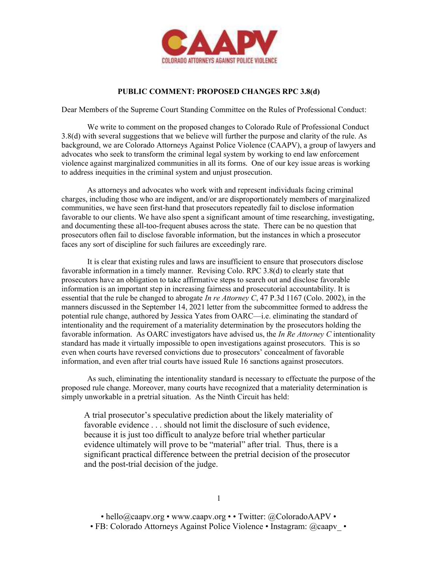

## PUBLIC COMMENT: PROPOSED CHANGES RPC 3.8(d)

Dear Members of the Supreme Court Standing Committee on the Rules of Professional Conduct:

We write to comment on the proposed changes to Colorado Rule of Professional Conduct 3.8(d) with several suggestions that we believe will further the purpose and clarity of the rule. As background, we are Colorado Attorneys Against Police Violence (CAAPV), a group of lawyers and advocates who seek to transform the criminal legal system by working to end law enforcement violence against marginalized communities in all its forms. One of our key issue areas is working to address inequities in the criminal system and unjust prosecution.

As attorneys and advocates who work with and represent individuals facing criminal charges, including those who are indigent, and/or are disproportionately members of marginalized communities, we have seen first-hand that prosecutors repeatedly fail to disclose information favorable to our clients. We have also spent a significant amount of time researching, investigating, and documenting these all-too-frequent abuses across the state. There can be no question that prosecutors often fail to disclose favorable information, but the instances in which a prosecutor faces any sort of discipline for such failures are exceedingly rare.

It is clear that existing rules and laws are insufficient to ensure that prosecutors disclose favorable information in a timely manner. Revising Colo. RPC 3.8(d) to clearly state that prosecutors have an obligation to take affirmative steps to search out and disclose favorable information is an important step in increasing fairness and prosecutorial accountability. It is essential that the rule be changed to abrogate In re Attorney C, 47 P.3d 1167 (Colo. 2002), in the manners discussed in the September 14, 2021 letter from the subcommittee formed to address the potential rule change, authored by Jessica Yates from OARC—i.e. eliminating the standard of intentionality and the requirement of a materiality determination by the prosecutors holding the favorable information. As OARC investigators have advised us, the In Re Attorney C intentionality standard has made it virtually impossible to open investigations against prosecutors. This is so even when courts have reversed convictions due to prosecutors' concealment of favorable information, and even after trial courts have issued Rule 16 sanctions against prosecutors.

As such, eliminating the intentionality standard is necessary to effectuate the purpose of the proposed rule change. Moreover, many courts have recognized that a materiality determination is simply unworkable in a pretrial situation. As the Ninth Circuit has held:

A trial prosecutor's speculative prediction about the likely materiality of favorable evidence . . . should not limit the disclosure of such evidence, because it is just too difficult to analyze before trial whether particular evidence ultimately will prove to be "material" after trial. Thus, there is a significant practical difference between the pretrial decision of the prosecutor and the post-trial decision of the judge.

• hello@caapv.org • www.caapv.org • • Twitter: @ColoradoAAPV •

• FB: Colorado Attorneys Against Police Violence • Instagram: @caapv •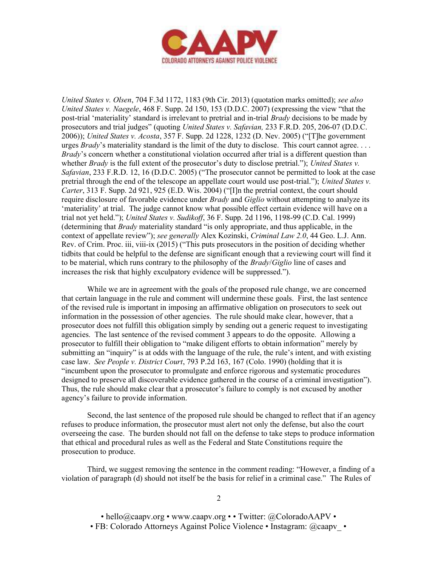

United States v. Olsen, 704 F.3d 1172, 1183 (9th Cir. 2013) (quotation marks omitted); see also United States v. Naegele, 468 F. Supp. 2d 150, 153 (D.D.C. 2007) (expressing the view "that the post-trial 'materiality' standard is irrelevant to pretrial and in-trial Brady decisions to be made by prosecutors and trial judges" (quoting United States v. Safavian, 233 F.R.D. 205, 206-07 (D.D.C. 2006)); United States v. Acosta, 357 F. Supp. 2d 1228, 1232 (D. Nev. 2005) ("[T]he government urges  $Brady$ 's materiality standard is the limit of the duty to disclose. This court cannot agree.... Brady's concern whether a constitutional violation occurred after trial is a different question than whether *Brady* is the full extent of the prosecutor's duty to disclose pretrial."); United States v. Safavian, 233 F.R.D. 12, 16 (D.D.C. 2005) ("The prosecutor cannot be permitted to look at the case pretrial through the end of the telescope an appellate court would use post-trial."); United States v. Carter, 313 F. Supp. 2d 921, 925 (E.D. Wis. 2004) ("[I]n the pretrial context, the court should require disclosure of favorable evidence under *Brady* and *Giglio* without attempting to analyze its 'materiality' at trial. The judge cannot know what possible effect certain evidence will have on a trial not yet held."); United States v. Sudikoff, 36 F. Supp. 2d 1196, 1198-99 (C.D. Cal. 1999) (determining that Brady materiality standard "is only appropriate, and thus applicable, in the context of appellate review"); see generally Alex Kozinski, Criminal Law 2.0, 44 Geo. L.J. Ann. Rev. of Crim. Proc. iii, viii-ix (2015) ("This puts prosecutors in the position of deciding whether tidbits that could be helpful to the defense are significant enough that a reviewing court will find it to be material, which runs contrary to the philosophy of the Brady/Giglio line of cases and increases the risk that highly exculpatory evidence will be suppressed.").

While we are in agreement with the goals of the proposed rule change, we are concerned that certain language in the rule and comment will undermine these goals. First, the last sentence of the revised rule is important in imposing an affirmative obligation on prosecutors to seek out information in the possession of other agencies. The rule should make clear, however, that a prosecutor does not fulfill this obligation simply by sending out a generic request to investigating agencies. The last sentence of the revised comment 3 appears to do the opposite. Allowing a prosecutor to fulfill their obligation to "make diligent efforts to obtain information" merely by submitting an "inquiry" is at odds with the language of the rule, the rule's intent, and with existing case law. See People v. District Court, 793 P.2d 163, 167 (Colo. 1990) (holding that it is "incumbent upon the prosecutor to promulgate and enforce rigorous and systematic procedures designed to preserve all discoverable evidence gathered in the course of a criminal investigation"). Thus, the rule should make clear that a prosecutor's failure to comply is not excused by another agency's failure to provide information.

Second, the last sentence of the proposed rule should be changed to reflect that if an agency refuses to produce information, the prosecutor must alert not only the defense, but also the court overseeing the case. The burden should not fall on the defense to take steps to produce information that ethical and procedural rules as well as the Federal and State Constitutions require the prosecution to produce.

Third, we suggest removing the sentence in the comment reading: "However, a finding of a violation of paragraph (d) should not itself be the basis for relief in a criminal case." The Rules of

• hello@caapv.org • www.caapv.org • • Twitter: @ColoradoAAPV •

• FB: Colorado Attorneys Against Police Violence • Instagram: @caapv •